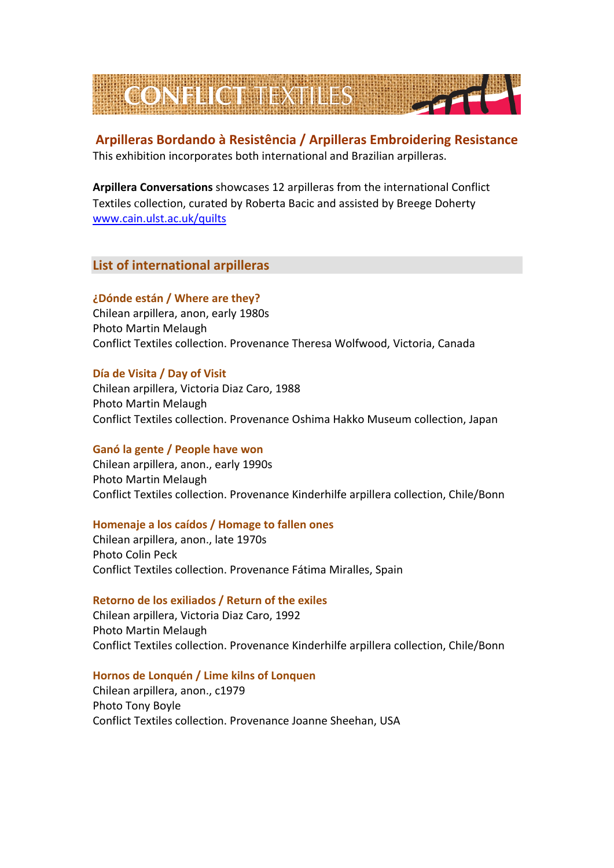

# **Arpilleras Bordando à Resistência / Arpilleras Embroidering Resistance** This exhibition incorporates both international and Brazilian arpilleras.

**Arpillera Conversations** showcases 12 arpilleras from the international Conflict Textiles collection, curated by Roberta Bacic and assisted by Breege Doherty [www.cain.ulst.ac.uk/quilts](http://www.cain.ulst.ac.uk/quilts)

**List of international arpilleras**

## **¿Dónde están / Where are they?**

Chilean arpillera, anon, early 1980s Photo Martin Melaugh Conflict Textiles collection. Provenance Theresa Wolfwood, Victoria, Canada

## **Día de Visita / Day of Visit**

Chilean arpillera, Victoria Diaz Caro, 1988 Photo Martin Melaugh Conflict Textiles collection. Provenance Oshima Hakko Museum collection, Japan

## **Ganó la gente / People have won**

Chilean arpillera, anon., early 1990s Photo Martin Melaugh Conflict Textiles collection. Provenance Kinderhilfe arpillera collection, Chile/Bonn

## **Homenaje a los caídos / Homage to fallen ones**

Chilean arpillera, anon., late 1970s Photo Colin Peck Conflict Textiles collection. Provenance Fátima Miralles, Spain

## **Retorno de los exiliados / Return of the exiles**

Chilean arpillera, Victoria Diaz Caro, 1992 Photo Martin Melaugh Conflict Textiles collection. Provenance Kinderhilfe arpillera collection, Chile/Bonn

## **Hornos de Lonquén / Lime kilns of Lonquen**

Chilean arpillera, anon., c1979 Photo Tony Boyle Conflict Textiles collection. Provenance Joanne Sheehan, USA